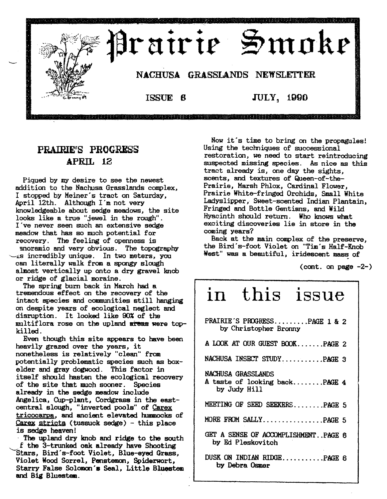

# PRAIRIEfS PROGRESS APRIL 12

Piqued by my desire to see the newest addition to the Nachusa Grasslands complex, I stopped by Meiner's tract on Saturday, April 12th. Although I'm not very knowledgeable about sedge meadows, the site looks like a true "jewel in the rough". I've never seen such an extensive sedge meadow that has so much potential for recovery. The feeling of openness is moramic and very obvious. The topography  $\sim$ is incredibly unique. In two meters, you can literally walk from a spongy slough almost vertically up onto a dry gravel knob or ridge of glacial moraine.

The spring burn back in March had a tremendous effect on the recovery of the intact species and communities still hanging on despite years of ecological neglect and disruption. It looked like 90% of the multiflora rose on the upland areas were topkilled.

Even though this site appears to have been heavily grazed over the years, it nonetheless is relatively "clean" from potentially problematic species such as boxelder and gray dogwood. This factor in itself should hasten the ecological recovery of the site that much sooner. Species already in the sedge meadow include Angelica, Cup-plant, Cordgrass in the eastcentral slough, "inverted pools" of Carex tricocarpa, and ancient elevated hummocks of  $C$ arex stricta (tussuck sedge) - this place is sedge heaven!

- The upland dry knob and ridge to the south  $f$  the 3-trunked oak already have Shooting Stars, Bird's-foot Violet, Blue-eyed Grass, Violet Wood Sorrel, Penstemon, Spiderwort, Starry False Solomon's Seal, Little Bluestem and Big Bluestem.

Now it's time to bring on the propagules! Using the techniques of successional restoration, we need to start reintroducing suspected missing species. As nice as this tract already is, one day the sights, scents, and textures of Queen-of-the-Prairie, Marsh Phlox, Cardinal Flower, Prairie White-fringed Orchids, Small White Ladyslipper, Sweet-scented Indian Plantain, Fringed and Bottle Gentians, and Wild Hyacinth should return. Who knows what exciting discoveries lie in store in the coming years?

Back at the main complex of the preserve the Bird's-foot Violet on "Tim's Half-Knob' -West" was a beautiful, iridescent mass of

(cont. on page  $-2$ -)

# in this issue

| PRAIRIE'S PROGRESSPAGE 1 & 2<br>by Christopher Bronny               |
|---------------------------------------------------------------------|
| A LOOK AT OUR GUEST BOOKPAGE 2                                      |
| NACHUSA INSECT STUDYPAGE 3                                          |
| NACHUSA GRASSLANDS<br>A taste of looking backPAGE 4<br>by Judy Hill |
| MEETING OF SEED SEEKERSPAGE 5                                       |
| MORE FROM SALLYPAGE 5                                               |
| GET A SENSE OF ACCOMPLISHMENT. PAGE 6<br>by Ed Pleskovitch          |
| DUSK ON INDIAN RIDGEPAGE 6<br>by Debra Osmer                        |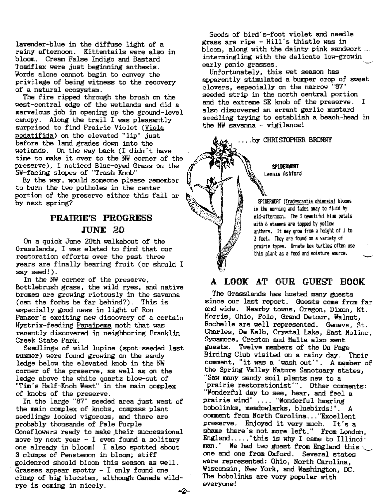lavender-blue in the diffuse light of a rainy afternoon. Kittentails were also in bloom. Cream False Indigo and Bastard Toadflax were just beginning anthesis. Words alone cannot begin to convey the privilege of being witness to the recovery of a natural ecosystem.

The fire ripped through the brush on the west-central edge of the wetlands and did a marvelous job in opening up the ground-level canopy. Along the trail I was pleasantly surprised to find Prairie Violet (Viola pedatifida) on the elevated "lip" just before the land grades down into the wetlands. On the way back (I didn't have time to make it over to the NW corner of the preserve), I noticed Blue-eyed Grass on the SW-facing slopes of "Trash Knob"

By the way, would someone please remember to burn the two potholes in the center portion of the preserve either this fall or by next spring?

## PRAIRIE'S PROGRESS JUNE 20

On a quick June 20th walkabout of the Grasslands, I was elated to find that our restoration efforts over the past three years are finally bearing fruit (or should I say seed!).

In the NW corner of the preserve, Bottlebrush grass, the wild ryes, and native bromes are growing riotously in the savanna (can the forbs be far behind?). This is especially good news in light of Ron Panzer's exciting new discovery of a certain Hystrix-feeding Papaipema moth that was recently discovered in neighboring Franklin Creek State Park. .

Seedlings of wild lupine (spot-seeded last summer) were found growing on the sandy ledge below the elevated knob in the NW corner of the preserve, as well as on the ledge above the white quartz blow-out of "Tim's Half-Knob West" in the main complex of knobs of the preserve.

In the large "87" seeded area just west of the main complex of knobs, compass plant seedlings looked vigorous, and there are probably thousands of Pale Purple Coneflowers ready to make their successional move by next year  $-$  I even found a solitary one already in bloom! I also spotted about 3 clumps of Penstemon in bloom; stiff goldenrod should bloom this season as well. Grasses appear spotty - I only found one clump of big bluestem, although Canada wildrye is coming in nicely.

Seeds of bird's-foot violet and needle grass are ripe - Hill's thistle was in bloom, along with the dainty pink sandwort intermingling with the delicate low-growin early panic grasses.

Unfortunately, this wet season has apparently stimulated a bumper crop of sweet clovers, especially on the narrow "87" seeded strip in the north central portion and the extreme SE knob of the preserve. I also discovered an errant garlic mustard seedling trying to establish a beach-head in the NW savanna - vigilance!

....by CHRISTOPHER BRONNY

SPIDERWORT Lennie Ashford

SPIDERWORT (Tradescantia ohiensis) blooms in the morning and fades away to fluid by lid-afternoon. The 3 beautiful blue petals with *b* stamens are topped by yellow anthers. It may grow from a height of 1 to 3 feet. They are found on a variety of prairie types. Ornate box turtles often use this plant as a food and moisture source.

### A LOOK AT OUR GUEST BOOK

The Grasslands has hosted many guests since our last report. Guests come from far and wide. Nearby towns, Oregon, Dixon, Mt. Morris, Ohio, Polo, Grand Detour, Walnut, Rochelle are well represented. Geneva, St. Charles, De Kalb, Crystal Lake, East Moline, Sycamore, Creston and Malta also sent guests . Twelve members of the Du Page Birding Club visited on a rainy day. Their comment, "it was a 'wash out'''. A member of the Spring Valley Nature Sanctuary states, "Saw many sandy soil plants new to a 'prairie restorationist"·. Other comments: "Wonderful day to see, hear, and feel a prairie wind" .... "Wonderful hearing bobolinks, meadowlarks, bluebirds!". A comment from North Carolina ..."Excellent preserve. Enjoyed it very much. It's a shame there's not more left." From London, England ....."this is why I came to Illinoi: man." We had two guest from England this one and one from Oxford. Several states were represented: Ohio, North Carolina Wisconsin, New York, and Washington, OC. The bobolinks are very popular with everyone!

-2-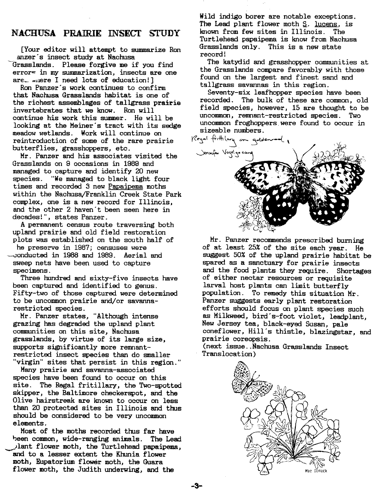#### NACHUSA PRAIRIE INSECT STUDY

[Your editor will attempt to summarize Ron anzer's insect study at Nachusa Grasslands. Please forgive me if you find error~ in my summarization, insects are one are... where I need lots of education!]

Ron Panzer's work continues to confirm that Nachusa Grasslands habitat is one of the richest assemblages of tallgrass prairie invertebrates that we know. Ron will continue his work this summer. He will be looking at the Meiner's tract with its sedge meadow wetlands. Work will continue on reintroduction of some of the rare prairie butterflies, grasshoppers, etc.

Mr. Panzer and his associates visited the Grasslands on 9 occasions in 1989 and managed to capture and identify 20 new species. "We managed to black light four times and recorded 3 new Papaipema moths within the Nachusa/Franklin Creek State Park complex, one is a new record for Illinois, and the other 2 haven't been seen here in decades!", states Panzer.

A permanent census route traversing both upland prairie and old field restoration plots was established on the south half of

he preserve in 1987; censuses were -conducted in 1988 and 1989. Aerial and sweep nets have been used to capture specimens.

Three hundred and sixty-five insects have been captured and identified to genus. Fifty-two of those captured were determined to be uncommon prairie arid/or savannarestricted species.

Mr. Panzer states, "Although intense grazing has degraded the upland plant communities on this site, Nachusa grasslands, by virtue of its large size, supports significantly more remnantrestricted insect species than do smaller "virgin" sites that persist in this region."

Many prairie and savanna-associated species have been found to occur on this site. The Regal fritillary, the Two-spotted skipper, the Baltimore checkerspot, and the Olive hairstreak are known to occur on less than 20 protected sites in Illinois and thus should be considered to be very uncommon elements.

Most of the moths recorded thus far have been common, wide-ranging animals. The Lead ~)lant flower moth, the Turtlehead papaipema, and to a lesser extent the Khunia flower moth, Eupatorium flower moth, the Guara flower moth, the Judith underwing, and the

Wild indigo borer are notable exceptions. The Lead plant flower moth  $\S$ . lucens, is known from few sites in Illinois. The Turtlehead papaipema is know from Nachusa Grasslands only. This is a new state record!

The katydid and grasshopper communities at the Grasslands compare favorably with those found on the largest and finest sand and tallgrass savannas in this region.

Seventy-six leafhopper species have been recorded. The bulk of these are common, old field species, however, 15 are thought to be uncommon, remnant-restricted species. Two uncommon froghoppers were found to occur in sizeable numbers.



Mr. Panzer recommends prescribed burning of at least 25% of the site each year. He suggest 50% of the upland prairie habitat be spared as a sanctuary for prairie insects and the food plants they require. Shortages of either nectar resources or requisite larval host plants can limit butterfly population. To remedy this situation Mr. Panzer suggests early plant restoration efforts should focus on plant species such as Milkweed, bird's-foot violet, leadplant, New Jersey tea, black-eyed Susan, pale coneflower, Hill's thistle, blazingstar, and prairie coreopsis.

(next issue ..Nachusa Grasslands Insect Translocation)



-3-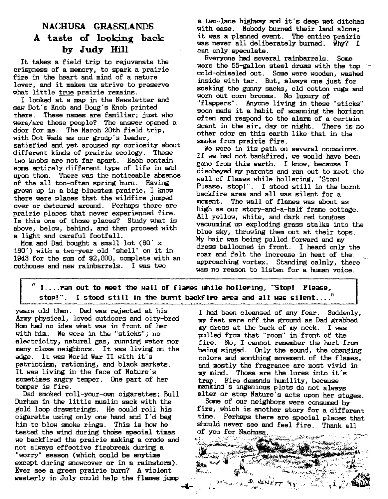# NACHUSA GRASSLANDS A taste of looking back by Judy Hill

It takes a field trip to rejuvenate the crispness of a memory, to spark a prairie fire in the heart and mind of a nature lover, and it makes us strive to preserve what little true prairie remains.

I looked at a map in the Newsletter and saw Dot's Knob and Doug's Knob printed there. These names are familiar; just who were/are these people? The answer opened a door for me. The March 20th field trip, with Dot Wade as our group's leader, satisfied and yet aroused my curiosity about different kinds of prairie ecology. These two knobs are not far apart. Each contain some entirely different type of life in and upon them. There was the noticeable absence of the all too-often spring bum. Having grownup in a big bluestem prairie, I know there were places that the wildfire jumped over or detoured around. Perhaps there are prairie places that never experienced fire. Is this one of those places? Study what is above, below, behind, and then proceed with a light and careful footfall.

Mom and Dad bought a small lot  $(80' x)$ 160') with a two-year old "shell" on it in 1943 for the sumof \$2,000, complete with an outhouse and new rainbarrels. I was two

a two-lane highway and it's deep wet ditches with ease. Nobody burned their land alone; it was a planned event. The entire prairie was never all deliberately burned. Why? I can only speculate.

Everyone had several rainbarrels. Some were the 55-gallon steel drums with the top cold-chiseled out. Some were wooden, washed inside with tar. But, always one just for soaking the gunny sacks, old cotton rugs and worn out com brooms. No luxury of "flappers". Anyone living in these "sticks" soon made it a habit of scanning the horizon often and respond to the alarm of a certain scent in the air, day or night. There is no other odor on this earth like that in the smoke from prairie fire.

We were in its path on several occasions. If we had not backfired, we would have been gone from this earth. I know, because I disobeyed myparents and ran out to meet the wall of flames while hollering, "Stop! Please, stop!". I stood still in the burnt backfire area and all was silent for a moment. The wall of flames was about as high as our story-and-a-half frame cottage. All yellow, white, and dark red tongues vacuuming up exploding grass stalks into the blue sky, throwing them out at their tops. Myhair was being pulled forward and my dress ballooned in front. I heard only the roar and felt the increase in heat of the approaching vortex. Standing calmly, there was no reason to listen for a human voice.

I.... ran out to meet the uall of flames while hollering, "Stop! Please, stop!". I stood still in the burnt backfire area and all was silent...."

years old then. Dad was rejected at his I had been cleansed of any fear. Suddenly, Army physical, loved outdoors and city-bred my feet were off the ground as Dad grabbed Mom had no idea what was in front of her my dress at the back of my neck. I was with him. We were in the "sticks"; no mulled from that "room" in front of the electricity, natural gas, running water nor fire. No, I cannot remember the hurt from manyclose neighbors. It was living on the being singed. Only the sound, the changing edge. It was World War II with it's colors and soothing movement of the flames, patriotism, rationing, and black markets. and mostly the fragrance are most vivid in It was living in the face of Nature's my mind. Those are the lures into it's sometimes angry temper. One part of her trap. Fire demands humility, because<br>temper is fire. the manking ingenious plots do not alway

Durham in the little muslin sack with the Some of our neighbors were consumed by him to blow smoke rings. This is how he should never see and feel fire. Thank all tested the wind during those special times of you for Nachusa. tested the wind during those special times of you for Nachusa. . . . . \_,\_~ \_", .... /~"-'-"', we backfired the prairie making a crude and not always effective firebreak during a<br>"worry" season (which could be anytime<br>except during snowcover or in a rainstorm).<br>Ever see a green prairie burn? A violent Ever see a green prairie burn? A violent westerly in July could help the flames jump

pulled from that "room" in front of the temper is fire. mankind'S ingenious plots do not always alter or stop Nature's acts upon her stages. gold loop drawstrings. He could roll his fire, which is another story for a different

cigarette using only one hand and I'd beg time. Perhaps there are special places that

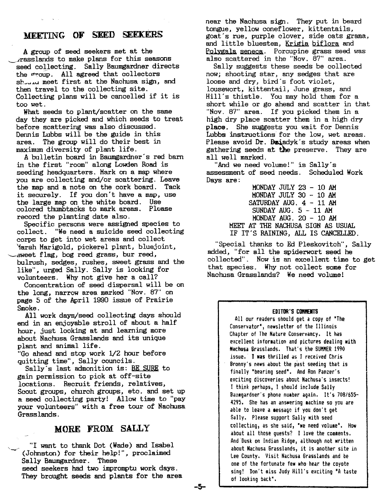#### MEETING OF SEED SEEKERS

A group of seed seekers met at the ~..irasslands to make plans for this seasons seed collecting. Sally Baumgardner directs the group. All agreed that collectors  $sh_{\text{unif}}$  meet first at the Nachusa sign, and then travel to the collecting site. Collecting plans will be cancelled if it is too wet.

What seeds to plant/scatter on the same day they are picked and which seeds to treat before scattering was also discussed. Dennis Lubbs will be the guide in this area. The group will do their best in maximum diversity of plant life.

A bulletin board in Baumgardner's red barn in the first "room" along Lowden Road is seeding headquarters. Mark on a map where you are collecting and/or scattering. Leave the map and a note on the cork board. Tack it securely. If you don't have a map, use<br>the large map on the white board. Use the large map on the white board. colored thumbtacks to mark areas. Please record the planting date also.

Specific persons were assigned species to collect. "We need a suicide seed collecting corps to get into wet areas and collect '1arsh Marigold, pickerel plant, bluejoint, ,-sweet flag, bog reed grass, bur reed, bulrush, sedges, rushes, sweet grass and the like", urged Sally. Sally is looking for volunteers. Why not give her a call?

Concentration of seed dispersal will be on the long, narrow area marked "Nov. 87" on page 5 of the April 1990 issue of Prairie Smoke.

All work days/seed collecting days should end in an enjoyable stroll of about a half hour, just looking at and learning more about Nachusa Grasslands and its unique plant and animal life.

"Go ahead and stop work 1/2 hour before quitting time", Sally councils.

Sally's last admonition is: BE SURE to gain permission to pick at off-site locations. Recruit friends, relatives, Scout groups, church groups, etc. and set up a seed collecting party! Allow time to "pay your volunteers" with a free tour of Nachusa Grasslands.

#### MORE FROM SALLY

"I want to thank Dot (Wade) and Isabel (Johnston) for their help!", proclaimed Sally Baumgardner. These seed seekers had two impromptu work days. They brought seeds and plants for the area near the Nachusa sign. They put in beard tongue, yellow coneflower, kittentails, goat's rue, purple clover, side oats grama, and little bluestem, Krigia biflora and Polygala seneca. Porcupine grass seed was also scattered in the "Nov. 87" area.

Sally suggests these seeds be collected now; shooting star, any sedges that are loose and dry, bird's foot violet, lousewort, kittentail, June grass, and Hill's thistle. You may hold them for a short while or go ahead and scatter in that "Nov. 87" area. If you picked them in a high dry place scatter them in a high dry place. She suggests you wait for Dennis Lubbs instructions for the low, wet areas. Please avoid Dr. Daiadyk's study areas when gathering seeds at the preserve. They are all well marked.

"And we need volume!" is Sally's assessment of seed needs. Scheduled Work Days are:

MONDAY JULY 23 - 10 AM MONDAY JULY 30 - 10 AM SATURDAY AUG. 4 - 11 AM SUNDAY AUG.  $5 - 11$  AM MONDAY AUG. 20 - 10 AM MEET AT THE NACHUSA SIGN AS USUAL IF IT'S RAINING, ALL IS CANCELLED.

"Special thanks to Ed Pleskovitch", Sally added, "for all the spiderwort seed he collected". Now is an excellent time to get that species. Why not collect some for Nachusa Grasslands? We need volume!

#### EDITOR'S COMMENTS

All our readers should get a copy of "The Conservator", newsletter of the Illinois Chapter of The Nature Conservancy. It has excellent information and pictures dealing with Nachusa Grasslands, That's the SUMMER 1990 issue.' I was thrilled as I received Chris Bronny's news about the past seeding that is finally "bearing seed". And Ron Panzer's exciting discoveries about Nachusa's insects! I think perhaps, I should include Sally Baulgardner's phone number again, It's *708/b55-* 4295. She has an answering machine so you are able to leave a message if you don't get Sally, Please support Sally with seed collecting, as she said, "we need volume". How about all those quests? I love the comments, And Dusk on Indian Ridge, although not written about Nachusa Grasslands, it is another site in lee County, Visit Nachusa Grasslands and be one of the fortunate few who hear the coyote sing! Don't miss Judy Hill's exciting "A taste of looting back",

-5-